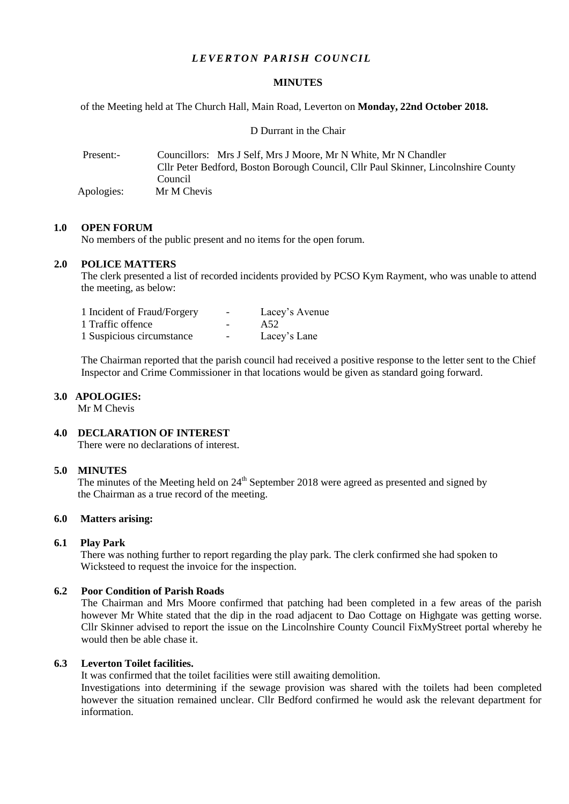# *LEVERTON PARISH COUNCIL*

## **MINUTES**

of the Meeting held at The Church Hall, Main Road, Leverton on **Monday, 22nd October 2018.**

D Durrant in the Chair

| Present:-  | Councillors: Mrs J Self, Mrs J Moore, Mr N White, Mr N Chandler<br>Cllr Peter Bedford, Boston Borough Council, Cllr Paul Skinner, Lincolnshire County |
|------------|-------------------------------------------------------------------------------------------------------------------------------------------------------|
| Apologies: | Council.<br>Mr M Chevis                                                                                                                               |

# **1.0 OPEN FORUM**

No members of the public present and no items for the open forum.

# **2.0 POLICE MATTERS**

The clerk presented a list of recorded incidents provided by PCSO Kym Rayment, who was unable to attend the meeting, as below:

| 1 Incident of Fraud/Forgery | Lacey's Avenue |
|-----------------------------|----------------|
| 1 Traffic offence           | A52            |
| 1 Suspicious circumstance   | Lacey's Lane   |

The Chairman reported that the parish council had received a positive response to the letter sent to the Chief Inspector and Crime Commissioner in that locations would be given as standard going forward.

# **3.0 APOLOGIES:**

Mr M Chevis

# **4.0 DECLARATION OF INTEREST**

There were no declarations of interest.

#### **5.0 MINUTES**

The minutes of the Meeting held on 24<sup>th</sup> September 2018 were agreed as presented and signed by the Chairman as a true record of the meeting.

# **6.0 Matters arising:**

## **6.1 Play Park**

There was nothing further to report regarding the play park. The clerk confirmed she had spoken to Wicksteed to request the invoice for the inspection.

## **6.2 Poor Condition of Parish Roads**

The Chairman and Mrs Moore confirmed that patching had been completed in a few areas of the parish however Mr White stated that the dip in the road adjacent to Dao Cottage on Highgate was getting worse. Cllr Skinner advised to report the issue on the Lincolnshire County Council FixMyStreet portal whereby he would then be able chase it.

## **6.3 Leverton Toilet facilities.**

It was confirmed that the toilet facilities were still awaiting demolition.

Investigations into determining if the sewage provision was shared with the toilets had been completed however the situation remained unclear. Cllr Bedford confirmed he would ask the relevant department for information.